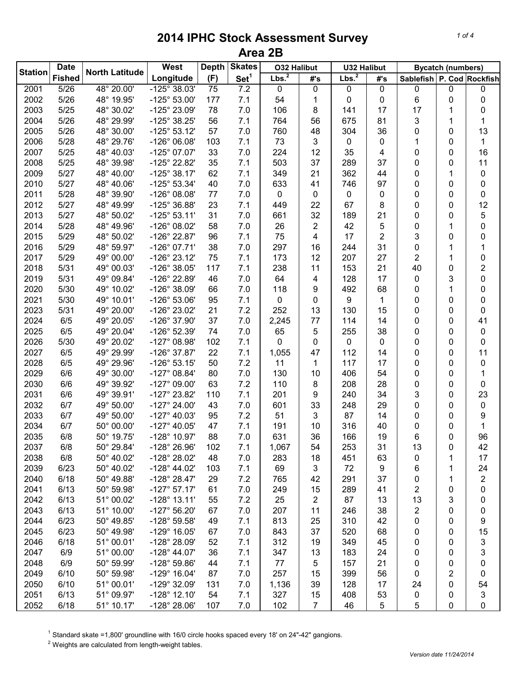|                | <b>Date</b>   | <b>North Latitude</b>    | West                  | <b>Depth</b> | <b>Skates</b>    | <b>O32 Halibut</b> |                | <b>U32 Halibut</b> |             | <b>Bycatch (numbers)</b>      |   |                         |
|----------------|---------------|--------------------------|-----------------------|--------------|------------------|--------------------|----------------|--------------------|-------------|-------------------------------|---|-------------------------|
| <b>Station</b> | <b>Fished</b> |                          | Longitude             | (F)          | Set <sup>1</sup> | Lbs. <sup>2</sup>  | #'s            | 2<br>Lbs.          | #'s         | Sablefish   P. Cod   Rockfish |   |                         |
| 2001           | 5/26          | 48° 20.00'               | $-125^{\circ}$ 38.03' | 75           | 7.2              | 0                  | 0              | 0                  | $\mathbf 0$ | 0                             | 0 | 0                       |
| 2002           | 5/26          | 48° 19.95'               | $-125^{\circ} 53.00'$ | 177          | 7.1              | 54                 | 1              | 0                  | 0           | 6                             | 0 | 0                       |
| 2003           | 5/25          | 48° 30.02'               | -125° 23.09'          | 78           | 7.0              | 106                | 8              | 141                | 17          | 17                            | 1 | 0                       |
| 2004           | 5/26          | 48° 29.99'               | -125° 38.25'          | 56           | 7.1              | 764                | 56             | 675                | 81          | 3                             | 1 | 1                       |
| 2005           | 5/26          | 48° 30.00'               | $-125^{\circ}53.12'$  | 57           | 7.0              | 760                | 48             | 304                | 36          | 0                             | 0 | 13                      |
| 2006           | 5/28          | 48° 29.76'               | $-126^{\circ}$ 06.08' | 103          | 7.1              | 73                 | 3              | 0                  | 0           | 1                             | 0 | $\mathbf{1}$            |
| 2007           | 5/25          | 48° 40.03'               | $-125^{\circ}$ 07.07' | 33           | 7.0              | 224                | 12             | 35                 | 4           | 0                             | 0 | 16                      |
| 2008           | 5/25          | 48° 39.98'               | -125° 22.82'          | 35           | 7.1              | 503                | 37             | 289                | 37          | 0                             | 0 | 11                      |
| 2009           | 5/27          | 48° 40.00'               | $-125^{\circ}$ 38.17' | 62           | 7.1              | 349                | 21             | 362                | 44          | 0                             | 1 | 0                       |
| 2010           | 5/27          | 48° 40.06'               | $-125^{\circ}53.34'$  | 40           | 7.0              | 633                | 41             | 746                | 97          | 0                             | 0 | 0                       |
| 2011           | 5/28          | 48° 39.90'               | $-126^{\circ}$ 08.08' | 77           | 7.0              | 0                  | 0              | 0                  | 0           | 0                             | 0 | 0                       |
| 2012           | 5/27          | 48° 49.99'               | $-125^{\circ}$ 36.88' | 23           | 7.1              | 449                | 22             | 67                 | 8           | 0                             | 0 | 12                      |
| 2013           | 5/27          | 48° 50.02'               | $-125^{\circ}53.11'$  | 31           | 7.0              | 661                | 32             | 189                | 21          | 0                             | 0 | 5                       |
| 2014           | 5/28          | 48° 49.96'               | -126° 08.02'          | 58           | 7.0              | 26                 | 2              | 42                 | 5           | 0                             | 1 | 0                       |
| 2015           | 5/29          | 48° 50.02'               | -126° 22.87'          | 96           | 7.1              | 75                 | 4              | 17                 | 2           | 3                             | 0 | 0                       |
| 2016           | 5/29          | 48° 59.97'               | $-126^{\circ}$ 07.71' | 38           | 7.0              | 297                | 16             | 244                | 31          | 0                             | 1 | 1                       |
| 2017           | 5/29          | 49° 00.00'               | $-126°$ 23.12'        | 75           | 7.1              | 173                | 12             | 207                | 27          | 2                             | 1 | 0                       |
| 2018           | 5/31          | 49° 00.03'               | -126° 38.05'          | 117          | 7.1              | 238                | 11             | 153                | 21          | 40                            | 0 | 2                       |
| 2019           | 5/31          | 49° 09.84'               | -126° 22.89'          | 46           | 7.0              | 64                 | 4              | 128                | 17          | 0                             | 3 | 0                       |
| 2020           | 5/30          | 49° 10.02'               | -126° 38.09'          | 66           | 7.0              | 118                | 9              | 492                | 68          | 0                             | 1 | 0                       |
| 2021           | 5/30          | 49° 10.01'               | $-126^{\circ} 53.06'$ | 95           | 7.1              | 0                  | 0              | 9                  | 1           | 0                             | 0 | 0                       |
| 2023           | 5/31          | 49° 20.00'               | -126° 23.02'          | 21           | 7.2              | 252                | 13             | 130                | 15          | 0                             | 0 | 0                       |
| 2024           | 6/5           | 49° 20.05'               | -126° 37.90'          | 37           | 7.0              | 2,245              | 77             | 114                | 14          | 0                             | 0 | 41                      |
| 2025           | 6/5           | 49° 20.04'               | -126° 52.39'          | 74           | 7.0              | 65                 | 5              | 255                | 38          | 0                             | 0 | 0                       |
| 2026           | 5/30          | 49° 20.02'               | $-127^{\circ}$ 08.98' | 102          | 7.1              | 0                  | 0              | 0                  | 0           | 0                             | 0 | 0                       |
| 2027           | 6/5           | 49° 29.99'               | -126° 37.87'          | 22           | 7.1              | 1,055              |                | 112                | 14          | 0                             | 0 | 11                      |
| 2028           | 6/5           | 49° 29.96'               | $-126°53.15'$         | 50           | 7.2              | 11                 | 47<br>1        | 117                | 17          | 0                             | 0 | 0                       |
| 2029           | 6/6           | 49° 30.00'               | $-127^{\circ}$ 08.84' | 80           | 7.0              | 130                | 10             | 406                | 54          | 0                             | 0 | 1                       |
| 2030           | 6/6           |                          |                       |              | 7.2              |                    |                |                    |             |                               |   | 0                       |
| 2031           |               | 49° 39.92'<br>49° 39.91' | $-127^{\circ}$ 09.00' | 63           | 7.1              | 110                | 8              | 208                | 28          | 0                             | 0 |                         |
|                | 6/6           |                          | $-127^{\circ} 23.82'$ | 110          |                  | 201                | 9              | 240                | 34          | 3                             | 0 | 23                      |
| 2032           | 6/7           | 49° 50.00'               | $-127^{\circ}$ 24.00' | 43           | 7.0              | 601                | 33             | 248                | 29          | 0                             | 0 | 0                       |
| 2033           | 6/7           | 49° 50.00'               | $-127^{\circ}$ 40.03' | 95           | 7.2              | 51                 | 3              | 87                 | 14          | 0                             | 0 | 9                       |
| 2034           | 6/7           | 50° 00.00'               | $-127^{\circ}$ 40.05' | 47           | 7.1              | 191                | 10             | 316                | 40          | 0                             | 0 | 1                       |
| 2035           | 6/8           | 50° 19.75'               | -128° 10.97'          | 88           | 7.0              | 631                | 36             | 166                | 19          | 6                             | 0 | 96                      |
| 2037           | 6/8           | 50° 29.84'               | $-128^{\circ} 26.96'$ | 102          | 7.1              | 1,067              | 54             | 253                | 31          | 13                            | 0 | 42                      |
| 2038           | 6/8           | 50° 40.02'               | -128° 28.02'          | 48           | 7.0              | 283                | 18             | 451                | 63          | 0                             | 1 | 17                      |
| 2039           | 6/23          | 50° 40.02'               | $-128^{\circ}$ 44.02' | 103          | 7.1              | 69                 | 3              | 72                 | 9           | 6                             | 1 | 24                      |
| 2040           | 6/18          | 50° 49.88'               | $-128^\circ 28.47'$   | 29           | 7.2              | 765                | 42             | 291                | 37          | 0                             | 1 | $\overline{\mathbf{c}}$ |
| 2041           | 6/13          | 50° 59.98'               | $-127^{\circ}57.17'$  | 61           | 7.0              | 249                | 15             | 289                | 41          | 2                             | 0 | 0                       |
| 2042           | 6/13          | 51° 00.02'               | $-128°$ 13.11'        | 55           | 7.2              | 25                 | 2              | 87                 | 13          | 13                            | 3 | 0                       |
| 2043           | 6/13          | 51° 10.00'               | $-127^{\circ}56.20'$  | 67           | 7.0              | 207                | 11             | 246                | 38          | 2                             | 0 | 0                       |
| 2044           | 6/23          | 50° 49.85'               | -128° 59.58'          | 49           | 7.1              | 813                | 25             | 310                | 42          | 0                             | 0 | 9                       |
| 2045           | 6/23          | 50° 49.98'               | $-129°$ 16.05'        | 67           | 7.0              | 843                | 37             | 520                | 68          | 0                             | 0 | 15                      |
| 2046           | 6/18          | 51° 00.01'               | -128° 28.09'          | 52           | 7.1              | 312                | 19             | 349                | 45          | 0                             | 0 | 3                       |
| 2047           | 6/9           | 51° 00.00'               | $-128^{\circ}$ 44.07' | 36           | 7.1              | 347                | 13             | 183                | 24          | 0                             | 0 | 3                       |
| 2048           | 6/9           | 50° 59.99'               | $-128^{\circ}59.86'$  | 44           | 7.1              | 77                 | 5              | 157                | 21          | 0                             | 0 | 0                       |
| 2049           | 6/10          | 50° 59.98'               | $-129^{\circ}$ 16.04' | 87           | 7.0              | 257                | 15             | 399                | 56          | 0                             | 2 | 0                       |
| 2050           | 6/10          | 51° 00.01'               | -129° 32.09'          | 131          | 7.0              | 1,136              | 39             | 128                | 17          | 24                            | 0 | 54                      |
| 2051           | 6/13          | 51° 09.97'               | $-128^\circ$ 12.10'   | 54           | 7.1              | 327                | 15             | 408                | 53          | 0                             | 0 | 3                       |
| 2052           | 6/18          | 51° 10.17'               | -128° 28.06'          | 107          | 7.0              | 102                | $\overline{7}$ | 46                 | 5           | 5                             | 0 | 0                       |

<sup>1</sup> Standard skate =1,800' groundline with 16/0 circle hooks spaced every 18' on 24"-42" gangions.

Weights are calculated from length-weight tables.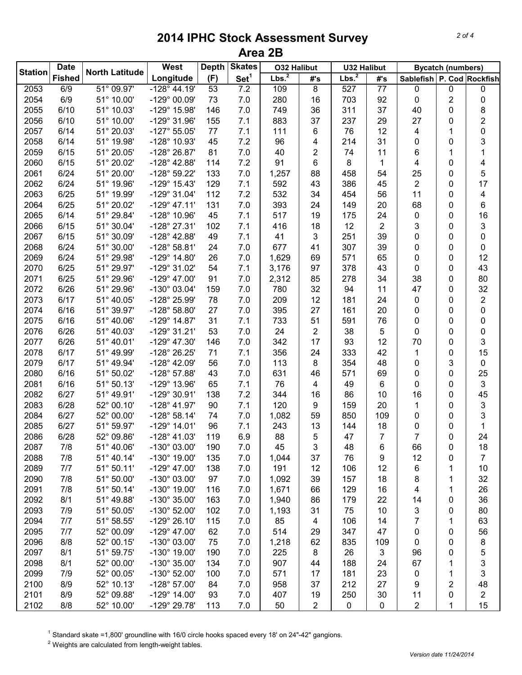| <b>Station</b> | <b>Date</b>   | <b>North Latitude</b>         | West                  | <b>Depth</b> | <b>Skates</b>    | <b>O32 Halibut</b> |     | <b>U32 Halibut</b> |                 | <b>Bycatch (numbers)</b>  |   |           |
|----------------|---------------|-------------------------------|-----------------------|--------------|------------------|--------------------|-----|--------------------|-----------------|---------------------------|---|-----------|
|                | <b>Fished</b> |                               | Longitude             | (F)          | Set <sup>1</sup> | Lbs. <sup>2</sup>  | #'s | Lbs. <sup>2</sup>  | #'s             | Sablefish P. Cod Rockfish |   |           |
| 2053           | 6/9           | $\overline{51^{\circ} 09.97}$ | $-128^{\circ}$ 44.19' | 53           | 7.2              | 109                | 8   | 527                | $\overline{77}$ | 0                         | 0 | $\pmb{0}$ |
| 2054           | 6/9           | 51° 10.00'                    | -129° 00.09'          | 73           | 7.0              | 280                | 16  | 703                | 92              | 0                         | 2 | 0         |
| 2055           | 6/10          | 51° 10.03'                    | -129° 15.98'          | 146          | 7.0              | 749                | 36  | 311                | 37              | 40                        | 0 | 8         |
| 2056           | 6/10          | 51° 10.00'                    | -129° 31.96'          | 155          | 7.1              | 883                | 37  | 237                | 29              | 27                        | 0 | 2         |
| 2057           | 6/14          | 51° 20.03'                    | $-127^{\circ}55.05'$  | 77           | 7.1              | 111                | 6   | 76                 | 12              | 4                         | 1 | $\pmb{0}$ |
| 2058           | 6/14          | 51° 19.98'                    | -128° 10.93'          | 45           | 7.2              | 96                 | 4   | 214                | 31              | 0                         | 0 | 3         |
| 2059           | 6/15          | 51° 20.05'                    | -128° 26.87'          | 81           | 7.0              | 40                 | 2   | 74                 | 11              | 6                         | 1 | 1         |
| 2060           | 6/15          | 51° 20.02'                    | $-128^{\circ}$ 42.88' | 114          | 7.2              | 91                 | 6   | 8                  | 1               | 4                         | 0 | 4         |
| 2061           | 6/24          | 51° 20.00'                    | -128° 59.22'          | 133          | 7.0              | 1,257              | 88  | 458                | 54              | 25                        | 0 | 5         |
| 2062           | 6/24          | 51° 19.96'                    | $-129°$ 15.43'        | 129          | 7.1              | 592                | 43  | 386                | 45              | $\overline{\mathbf{c}}$   | 0 | 17        |
| 2063           | 6/25          | 51° 19.99'                    | -129° 31.04'          | 112          | 7.2              | 532                | 34  | 454                | 56              | 11                        | 0 | 4         |
| 2064           | 6/25          | 51° 20.02'                    | $-129°$ 47.11'        | 131          | 7.0              | 393                | 24  | 149                | 20              | 68                        | 0 | 6         |
| 2065           | 6/14          | 51° 29.84'                    | -128° 10.96'          | 45           | 7.1              | 517                | 19  | 175                | 24              | 0                         | 0 | 16        |
| 2066           | 6/15          | 51° 30.04'                    | -128° 27.31'          | 102          | 7.1              | 416                | 18  | 12                 | 2               | 3                         | 0 | 3         |
| 2067           | 6/15          | 51° 30.09'                    | $-128^{\circ}$ 42.88' | 49           | 7.1              | 41                 | 3   | 251                | 39              | 0                         | 0 | 0         |
| 2068           | 6/24          | 51° 30.00'                    | $-128°58.81'$         | 24           | 7.0              | 677                | 41  | 307                | 39              | 0                         | 0 | 0         |
| 2069           | 6/24          | 51° 29.98'                    | $-129^{\circ}$ 14.80' | 26           | 7.0              | 1,629              | 69  | 571                | 65              | 0                         | 0 | 12        |
| 2070           | 6/25          | 51° 29.97'                    | -129° 31.02'          | 54           | 7.1              | 3,176              | 97  | 378                | 43              | 0                         | 0 | 43        |
| 2071           | 6/25          | 51° 29.96'                    | $-129^{\circ}$ 47.00' | 91           | 7.0              | 2,312              | 85  | 278                | 34              | 38                        | 0 | 80        |
| 2072           | 6/26          | 51° 29.96'                    | -130° 03.04'          | 159          | 7.0              | 780                | 32  | 94                 | 11              | 47                        | 0 | 32        |
| 2073           | 6/17          | 51° 40.05'                    | -128° 25.99'          | 78           | 7.0              | 209                | 12  | 181                | 24              | 0                         | 0 | 2         |
| 2074           | 6/16          | 51° 39.97'                    | $-128^{\circ} 58.80'$ | 27           | 7.0              | 395                | 27  | 161                | 20              | 0                         | 0 | $\pmb{0}$ |
| 2075           | 6/16          | 51° 40.06'                    | $-129°$ 14.87'        | 31           | 7.1              | 733                | 51  | 591                | 76              | 0                         | 0 | $\pmb{0}$ |
| 2076           | 6/26          | 51° 40.03'                    | $-129°31.21'$         | 53           | 7.0              | 24                 | 2   | 38                 | 5               | $\mathbf 0$               | 0 | 0         |
| 2077           | 6/26          | 51° 40.01'                    | $-129^{\circ}$ 47.30' | 146          | 7.0              | 342                | 17  | 93                 | 12              | 70                        | 0 | 3         |
| 2078           | 6/17          | 51° 49.99'                    | -128° 26.25'          | 71           | 7.1              | 356                | 24  | 333                | 42              | 1                         | 0 | 15        |
| 2079           | 6/17          | 51° 49.94'                    | -128° 42.09'          | 56           | 7.0              | 113                | 8   | 354                | 48              | 0                         | 3 | 0         |
| 2080           | 6/16          | 51° 50.02'                    | -128° 57.88'          | 43           | 7.0              | 631                | 46  | 571                | 69              | 0                         | 0 | 25        |
| 2081           | 6/16          | 51° 50.13'                    | -129° 13.96'          | 65           | 7.1              | 76                 | 4   | 49                 | 6               | 0                         | 0 | 3         |
| 2082           | 6/27          | 51° 49.91'                    | -129° 30.91'          | 138          | 7.2              | 344                | 16  | 86                 | 10              | 16                        | 0 | 45        |
| 2083           | 6/28          | 52° 00.10'                    | $-128^{\circ}$ 41.97' | 90           | 7.1              | 120                | 9   | 159                | 20              | 1                         | 0 | 3         |
| 2084           | 6/27          | 52° 00.00'                    | $-128°58.14'$         | 74           | 7.0              | 1,082              | 59  | 850                | 109             | 0                         | 0 | 3         |
| 2085           | 6/27          | 51° 59.97'                    | $-129°$ 14.01'        | 96           | 7.1              | 243                | 13  | 144                | 18              | 0                         | 0 | 1         |
| 2086           | 6/28          | 52° 09.86'                    | $-128^{\circ}$ 41.03' | 119          | 6.9              | 88                 | 5   | 47                 | $\overline{7}$  | $\overline{7}$            | 0 | 24        |
| 2087           | 7/8           | 51° 40.06'                    | -130° 03.00'          | 190          | 7.0              | 45                 | 3   | 48                 | 6               | 66                        | 0 | 18        |
| 2088           | 7/8           | 51° 40.14'                    | $-130^{\circ}$ 19.00' | 135          | 7.0              | 1,044              | 37  | 76                 | 9               | 12                        | 0 | 7         |
| 2089           | 7/7           | 51° 50.11'                    | $-129^{\circ}$ 47.00' | 138          | 7.0              | 191                | 12  | 106                | 12              | 6                         | 1 | 10        |
| 2090           | 7/8           | 51° 50.00'                    | -130° 03.00'          | 97           | 7.0              | 1,092              | 39  | 157                | 18              | 8                         | 1 | 32        |
| 2091           | 7/8           | 51° 50.14'                    | $-130^{\circ}$ 19.00' | 116          | 7.0              | 1,671              | 66  | 129                | 16              | 4                         | 1 | 26        |
| 2092           | 8/1           | 51° 49.88'                    | -130° 35.00'          | 163          | 7.0              | 1,940              | 86  | 179                | 22              | 14                        | 0 | 36        |
| 2093           | 7/9           | 51° 50.05'                    | $-130^{\circ}$ 52.00' | 102          | 7.0              | 1,193              | 31  | 75                 | 10              | 3                         | 0 | 80        |
| 2094           | 7/7           | 51° 58.55'                    | $-129°$ 26.10'        | 115          | 7.0              | 85                 | 4   | 106                | 14              | $\overline{7}$            | 1 | 63        |
| 2095           | 7/7           | 52° 00.09'                    | $-129^{\circ}$ 47.00' | 62           | 7.0              | 514                | 29  | 347                | 47              | 0                         | 0 | 56        |
| 2096           | 8/8           | 52° 00.15'                    | -130° 03.00'          | 75           | 7.0              | 1,218              | 62  | 835                | 109             | 0                         | 0 | 8         |
| 2097           | 8/1           | 51° 59.75'                    | $-130^{\circ}$ 19.00' | 190          | 7.0              | 225                | 8   | 26                 | 3               | 96                        | 0 | 5         |
| 2098           | 8/1           | 52° 00.00'                    | -130° 35.00'          | 134          | 7.0              | 907                | 44  | 188                | 24              | 67                        | 1 | 3         |
| 2099           | 7/9           | 52° 00.05'                    | $-130^{\circ}$ 52.00' | 100          | 7.0              | 571                | 17  | 181                | 23              | 0                         | 1 | 3         |
| 2100           | 8/9           | 52° 10.13'                    | $-128^{\circ}$ 57.00' | 84           | 7.0              | 958                | 37  | 212                | 27              | 9                         | 2 | 48        |
| 2101           | 8/9           | 52° 09.88'                    | $-129^{\circ}$ 14.00' | 93           | 7.0              | 407                | 19  | 250                | 30              | 11                        | 0 | 2         |
| 2102           | 8/8           | 52° 10.00'                    | -129° 29.78'          | 113          | 7.0              | 50                 | 2   | $\pmb{0}$          | 0               | $\overline{c}$            | 1 | 15        |

<sup>1</sup> Standard skate =1,800' groundline with 16/0 circle hooks spaced every 18' on 24"-42" gangions.

Weights are calculated from length-weight tables.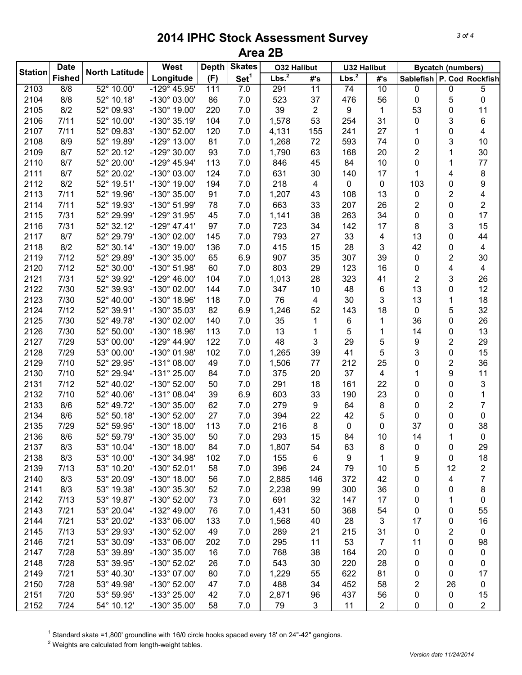|                | <b>Date</b>   |                               | West                  | <b>Skates</b><br><b>Depth</b> |                  | <b>O32 Halibut</b> |     | <b>U32 Halibut</b> |              | <b>Bycatch (numbers)</b>      |                |                         |
|----------------|---------------|-------------------------------|-----------------------|-------------------------------|------------------|--------------------|-----|--------------------|--------------|-------------------------------|----------------|-------------------------|
| <b>Station</b> | <b>Fished</b> | <b>North Latitude</b>         | Longitude             | (F)                           | Set <sup>1</sup> | Lbs. <sup>2</sup>  | #'s | Lbs. <sup>2</sup>  | #'s          | Sablefish   P. Cod   Rockfish |                |                         |
| 2103           | 8/8           | $\frac{1}{22^{\circ}}$ 10.00' | $-129^{\circ}$ 45.95' | 111                           | 7.0              | 291                | 11  | 74                 | 10           | 0                             | 0              | 5                       |
| 2104           | 8/8           | 52° 10.18'                    | -130° 03.00'          | 86                            | 7.0              | 523                | 37  | 476                | 56           | 0                             | 5              | 0                       |
| 2105           | 8/2           | 52° 09.93'                    | $-130^{\circ}$ 19.00' | 220                           | 7.0              | 39                 | 2   | 9                  | $\mathbf{1}$ | 53                            | 0              | 11                      |
| 2106           | 7/11          | 52° 10.00'                    | -130° 35.19'          | 104                           | 7.0              | 1,578              | 53  | 254                | 31           | 0                             | 3              | 6                       |
| 2107           | 7/11          | 52° 09.83'                    | -130° 52.00'          | 120                           | 7.0              | 4,131              | 155 | 241                | 27           | 1                             | 0              | 4                       |
| 2108           | 8/9           | 52° 19.89'                    | -129° 13.00'          | 81                            | 7.0              | 1,268              | 72  | 593                | 74           | 0                             | 3              | 10                      |
| 2109           | 8/7           | 52° 20.12'                    | $-129^{\circ}$ 30.00' | 93                            | 7.0              | 1,790              | 63  | 168                | 20           | $\overline{\mathbf{c}}$       | 1              | 30                      |
| 2110           | 8/7           | 52° 20.00'                    | $-129^{\circ}$ 45.94' | 113                           | 7.0              | 846                | 45  | 84                 | 10           | 0                             | 1              | 77                      |
| 2111           | 8/7           | 52° 20.02'                    | $-130^{\circ}$ 03.00' | 124                           | 7.0              | 631                | 30  | 140                | 17           | 1                             | 4              | 8                       |
| 2112           | 8/2           | 52° 19.51'                    | -130° 19.00'          | 194                           | 7.0              | 218                | 4   | 0                  | 0            | 103                           | 0              | 9                       |
| 2113           | 7/11          | 52° 19.96'                    | $-130^{\circ}$ 35.00' | 91                            | 7.0              | 1,207              | 43  | 108                | 13           | 0                             | $\overline{2}$ | 4                       |
| 2114           | 7/11          | 52° 19.93'                    | $-130^{\circ}$ 51.99' | 78                            | 7.0              | 663                | 33  | 207                | 26           | 2                             | 0              | 2                       |
| 2115           | 7/31          | 52° 29.99'                    | -129° 31.95'          | 45                            | 7.0              | 1,141              | 38  | 263                | 34           | 0                             | 0              | 17                      |
| 2116           | 7/31          | 52° 32.12'                    | $-129^{\circ}$ 47.41' | 97                            | 7.0              | 723                | 34  | 142                | 17           | 8                             | 3              | 15                      |
| 2117           | 8/7           | 52° 29.79'                    | $-130^{\circ}$ 02.00' | 145                           | 7.0              | 793                | 27  | 33                 | 4            | 13                            | 0              | 44                      |
| 2118           | 8/2           | 52° 30.14'                    | $-130^{\circ}$ 19.00' | 136                           | 7.0              | 415                | 15  | 28                 | 3            | 42                            | 0              | 4                       |
| 2119           | 7/12          | 52° 29.89'                    | -130° 35.00'          | 65                            | 6.9              | 907                | 35  | 307                | 39           | 0                             | $\overline{2}$ | 30                      |
| 2120           | 7/12          | 52° 30.00'                    | -130° 51.98'          | 60                            | 7.0              | 803                | 29  | 123                | 16           | 0                             | 4              | 4                       |
| 2121           | 7/31          | 52° 39.92'                    | $-129^{\circ}$ 46.00' | 104                           | 7.0              | 1,013              | 28  | 323                | 41           | 2                             | 3              | 26                      |
| 2122           | 7/30          | 52° 39.93'                    | -130° 02.00'          | 144                           | 7.0              | 347                | 10  | 48                 | 6            | 13                            | 0              | 12                      |
| 2123           | 7/30          | 52° 40.00'                    | $-130^{\circ}$ 18.96' | 118                           | 7.0              | 76                 | 4   | 30                 | 3            | 13                            | 1              | 18                      |
| 2124           | 7/12          | 52° 39.91'                    | -130° 35.03'          | 82                            | 6.9              | 1,246              | 52  | 143                | 18           | 0                             | 5              | 32                      |
| 2125           | 7/30          | 52° 49.78'                    | $-130^{\circ}$ 02.00' | 140                           | 7.0              | 35                 | 1   | 6                  | 1            | 36                            | 0              | 26                      |
| 2126           | 7/30          | 52° 50.00'                    | $-130^{\circ}$ 18.96' | 113                           | 7.0              | 13                 | 1   | 5                  | 1            | 14                            | 0              | 13                      |
| 2127           | 7/29          | 53° 00.00'                    | $-129^{\circ}$ 44.90' | 122                           | 7.0              | 48                 | 3   | 29                 | 5            | 9                             | $\overline{2}$ | 29                      |
| 2128           | 7/29          | 53° 00.00'                    | $-130^{\circ}$ 01.98' | 102                           | 7.0              | 1,265              | 39  | 41                 | 5            | 3                             | 0              | 15                      |
| 2129           | 7/10          | 52° 29.95'                    | $-131^{\circ}$ 08.00' | 49                            | 7.0              | 1,506              | 77  | 212                | 25           | 0                             | $\overline{2}$ | 36                      |
| 2130           | 7/10          | 52° 29.94'                    | $-131^{\circ} 25.00'$ | 84                            | 7.0              | 375                | 20  | 37                 | 4            | 1                             | 9              | 11                      |
| 2131           | 7/12          | 52° 40.02'                    | $-130^{\circ}$ 52.00' | 50                            | 7.0              | 291                | 18  | 161                | 22           | 0                             | 0              | 3                       |
| 2132           | 7/10          | 52° 40.06'                    | $-131^{\circ}$ 08.04' | 39                            | 6.9              | 603                | 33  | 190                | 23           | 0                             | 0              | 1                       |
| 2133           | 8/6           | 52° 49.72'                    | -130° 35.00'          | 62                            | 7.0              | 279                | 9   | 64                 | 8            | 0                             | 2              | 7                       |
| 2134           | 8/6           | 52° 50.18'                    | -130° 52.00'          | 27                            | 7.0              | 394                | 22  | 42                 | 5            | 0                             | 0              | 0                       |
| 2135           | 7/29          | 52° 59.95'                    | $-130^{\circ}$ 18.00' | 113                           | 7.0              | 216                | 8   | 0                  | 0            | 37                            | 0              | 38                      |
| 2136           | 8/6           | 52° 59.79'                    | -130° 35.00'          | 50                            | 7.0              | 293                | 15  | 84                 | 10           | 14                            | 1              | 0                       |
| 2137           | 8/3           | 53° 10.04'                    | $-130^\circ$ 18.00'   | 84                            | 7.0              | 1,807              | 54  | 63                 | 8            | 0                             | 0              | 29                      |
| 2138           | 8/3           | 53° 10.00'                    | -130° 34.98'          | 102                           | 7.0              | 155                | 6   | 9                  | 1            | 9                             | 0              | 18                      |
| 2139           | 7/13          | 53° 10.20'                    | $-130^{\circ}$ 52.01' | 58                            | 7.0              | 396                | 24  | 79                 | 10           | 5                             | 12             | $\overline{\mathbf{c}}$ |
| 2140           | 8/3           | 53° 20.09'                    | $-130^{\circ}$ 18.00' | 56                            | 7.0              | 2,885              | 146 | 372                | 42           | 0                             | 4              | $\overline{7}$          |
| 2141           | 8/3           | 53° 19.38'                    | -130° 35.30'          | 52                            | 7.0              | 2,238              | 99  | 300                | 36           | 0                             | 0              | 8                       |
| 2142           | 7/13          | 53° 19.87'                    | $-130^{\circ}$ 52.00' | 73                            | 7.0              | 691                | 32  | 147                | 17           | 0                             | 1              | 0                       |
| 2143           | 7/21          | 53° 20.04'                    | $-132^{\circ}$ 49.00' | 76                            | 7.0              | 1,431              | 50  | 368                | 54           | 0                             | 0              | 55                      |
| 2144           | 7/21          | 53° 20.02'                    | $-133^{\circ}$ 06.00' | 133                           | 7.0              | 1,568              | 40  | 28                 | 3            | 17                            | 0              | 16                      |
| 2145           | 7/13          | 53° 29.93'                    | $-130^{\circ}$ 52.00' | 49                            | 7.0              | 289                | 21  | 215                | 31           | 0                             | 2              | 0                       |
| 2146           | 7/21          | 53° 30.09'                    | -133° 06.00'          | 202                           | 7.0              | 295                | 11  | 53                 | 7            | 11                            | 0              | 98                      |
| 2147           | 7/28          | 53° 39.89'                    | -130° 35.00'          | 16                            | 7.0              | 768                | 38  | 164                | 20           | 0                             | 0              | 0                       |
| 2148           | 7/28          | 53° 39.95'                    | $-130^{\circ}$ 52.02' | 26                            | 7.0              | 543                | 30  | 220                | 28           | 0                             | 0              | 0                       |
| 2149           | 7/21          | 53° 40.30'                    | -133° 07.00'          | 80                            | 7.0              | 1,229              | 55  | 622                | 81           | 0                             | 0              | 17                      |
| 2150           | 7/28          | 53° 49.98'                    | -130° 52.00'          | 47                            | 7.0              | 488                | 34  | 452                | 58           | 2                             | 26             | 0                       |
| 2151           | 7/20          | 53° 59.95'                    | -133° 25.00'          | 42                            | 7.0              | 2,871              | 96  | 437                | 56           | 0                             | 0              | 15                      |
| 2152           | 7/24          | 54° 10.12'                    | -130° 35.00'          | 58                            | 7.0              | 79                 | 3   | 11                 | 2            | 0                             | 0              | 2                       |

<sup>1</sup> Standard skate =1,800' groundline with 16/0 circle hooks spaced every 18' on 24"-42" gangions.

Weights are calculated from length-weight tables.